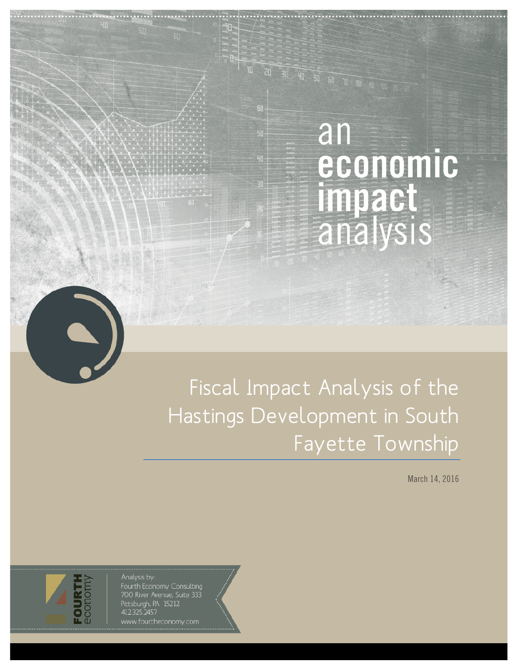# an economic impact analysis

Fiscal Impact Analysis of the Hastings Development in South Fayette Township

 $\overline{\mathbf{u}^{\circ}}$ 

March 14, 2016

Analysis by: Fourth Economy Consulting Foo River Avenue, Suite 333<br>Pittsburgh, PA 15212<br>412.325.2457 www.fourtheconomy.com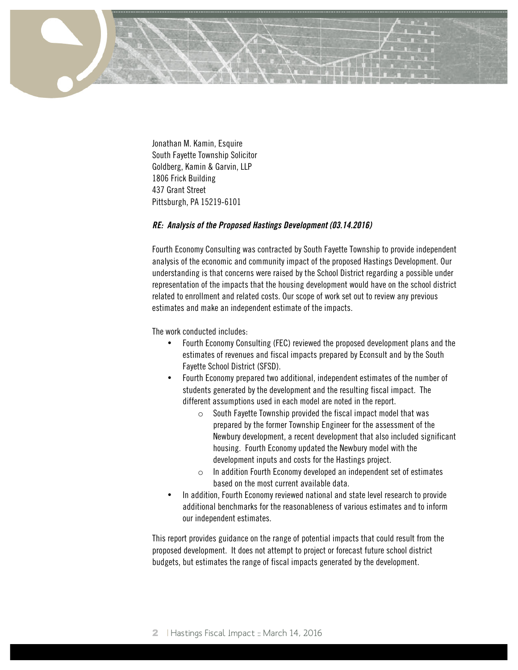

Jonathan M. Kamin, Esquire South Fayette Township Solicitor Goldberg, Kamin & Garvin, LLP 1806 Frick Building 437 Grant Street Pittsburgh, PA 15219-6101

#### **RE: Analysis of the Proposed Hastings Development (03.14.2016)**

Fourth Economy Consulting was contracted by South Fayette Township to provide independent analysis of the economic and community impact of the proposed Hastings Development. Our understanding is that concerns were raised by the School District regarding a possible under representation of the impacts that the housing development would have on the school district related to enrollment and related costs. Our scope of work set out to review any previous estimates and make an independent estimate of the impacts.

The work conducted includes:

- Fourth Economy Consulting (FEC) reviewed the proposed development plans and the estimates of revenues and fiscal impacts prepared by Econsult and by the South Fayette School District (SFSD).
- Fourth Economy prepared two additional, independent estimates of the number of students generated by the development and the resulting fiscal impact. The different assumptions used in each model are noted in the report.
	- $\circ$  South Fayette Township provided the fiscal impact model that was prepared by the former Township Engineer for the assessment of the Newbury development, a recent development that also included significant housing. Fourth Economy updated the Newbury model with the development inputs and costs for the Hastings project.
	- $\circ$  In addition Fourth Economy developed an independent set of estimates based on the most current available data.
- In addition, Fourth Economy reviewed national and state level research to provide additional benchmarks for the reasonableness of various estimates and to inform our independent estimates.

This report provides guidance on the range of potential impacts that could result from the proposed development. It does not attempt to project or forecast future school district budgets, but estimates the range of fiscal impacts generated by the development.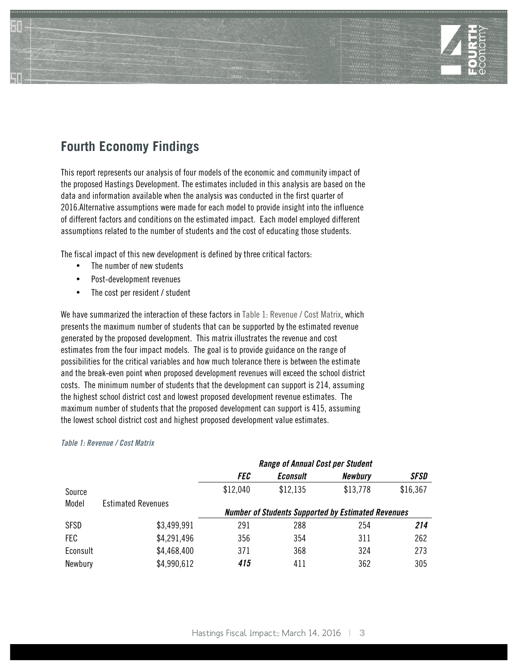

# **Fourth Economy Findings**

This report represents our analysis of four models of the economic and community impact of the proposed Hastings Development. The estimates included in this analysis are based on the data and information available when the analysis was conducted in the first quarter of 2016.Alternative assumptions were made for each model to provide insight into the influence of different factors and conditions on the estimated impact. Each model employed different assumptions related to the number of students and the cost of educating those students.

The fiscal impact of this new development is defined by three critical factors:

- The number of new students
- Post-development revenues
- The cost per resident / student

We have summarized the interaction of these factors in Table 1: Revenue / Cost Matrix, which presents the maximum number of students that can be supported by the estimated revenue generated by the proposed development. This matrix illustrates the revenue and cost estimates from the four impact models. The goal is to provide guidance on the range of possibilities for the critical variables and how much tolerance there is between the estimate and the break-even point when proposed development revenues will exceed the school district costs. The minimum number of students that the development can support is 214, assuming the highest school district cost and lowest proposed development revenue estimates. The maximum number of students that the proposed development can support is 415, assuming the lowest school district cost and highest proposed development value estimates.

#### **Table 1: Revenue / Cost Matrix**

|          |                           | <b>Range of Annual Cost per Student</b> |                 |                                                           |          |
|----------|---------------------------|-----------------------------------------|-----------------|-----------------------------------------------------------|----------|
|          |                           | <i>FEC</i>                              | <b>Econsult</b> | <b>Newbury</b>                                            | SFSD     |
| Source   |                           | \$12,040                                | \$12,135        | \$13,778                                                  | \$16,367 |
| Model    | <b>Estimated Revenues</b> |                                         |                 |                                                           |          |
|          |                           |                                         |                 | <b>Number of Students Supported by Estimated Revenues</b> |          |
| SFSD     | \$3,499,991               | 291                                     | 288             | 254                                                       | 214      |
| FEC      | \$4,291,496               | 356                                     | 354             | 311                                                       | 262      |
| Econsult | \$4,468,400               | 371                                     | 368             | 324                                                       | 273      |
| Newbury  | \$4,990,612               | 415                                     | 411             | 362                                                       | 305      |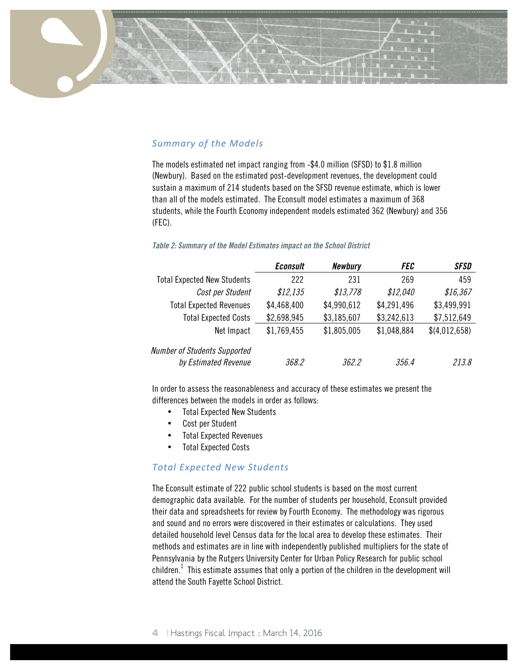## **Summary of the Models**

The models estimated net impact ranging from -\$4.0 million (SFSD) to \$1.8 million (Newbury). Based on the estimated post-development revenues, the development could sustain a maximum of 214 students based on the SFSD revenue estimate, which is lower than all of the models estimated. The Econsult model estimates a maximum of 368 students, while the Fourth Economy independent models estimated 362 (Newbury) and 356 (FEC).

#### **Table 2: Summary of the Model Estimates impact on the School District**

|                                    | <b>Econsult</b> | <b>Newbury</b> | <i>FEC</i>  | <b>SFSD</b>   |
|------------------------------------|-----------------|----------------|-------------|---------------|
| <b>Total Expected New Students</b> | 222             | 231            | 269         | 459           |
| Cost per Student                   | \$12,135        | \$13,778       | \$12,040    | \$16,367      |
| <b>Total Expected Revenues</b>     | \$4,468,400     | \$4,990,612    | \$4,291,496 | \$3,499,991   |
| <b>Total Expected Costs</b>        | \$2,698,945     | \$3,185,607    | \$3,242,613 | \$7,512,649   |
| Net Impact                         | \$1,769,455     | \$1,805,005    | \$1,048,884 | \$(4,012,658) |
| Number of Students Supported       |                 |                |             |               |
| by Estimated Revenue               | 368.2           | 362.2          | 356.4       | 213.8         |

In order to assess the reasonableness and accuracy of these estimates we present the differences between the models in order as follows:

- Total Expected New Students
- Cost per Student
- Total Expected Revenues
- Total Expected Costs

## *Total Expected New Students*

The Econsult estimate of 222 public school students is based on the most current demographic data available. For the number of students per household, Econsult provided their data and spreadsheets for review by Fourth Economy. The methodology was rigorous and sound and no errors were discovered in their estimates or calculations. They used detailed household level Census data for the local area to develop these estimates. Their methods and estimates are in line with independently published multipliers for the state of Pennsylvania by the Rutgers University Center for Urban Policy Research for public school children. $^{\rm 1}$  This estimate assumes that only a portion of the children in the development will attend the South Fayette School District.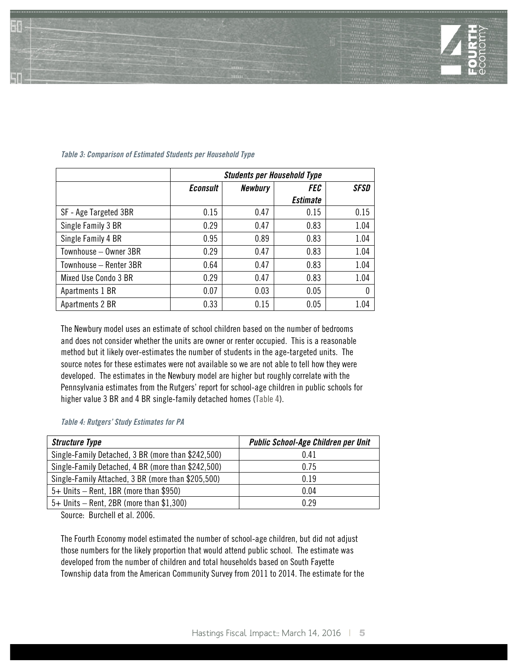

|                        | <b>Students per Household Type</b> |                |                 |             |  |
|------------------------|------------------------------------|----------------|-----------------|-------------|--|
|                        | <b>Econsult</b>                    | <b>Newbury</b> | FEC             | <b>SFSD</b> |  |
|                        |                                    |                | <b>Estimate</b> |             |  |
| SF - Age Targeted 3BR  | 0.15                               | 0.47           | 0.15            | 0.15        |  |
| Single Family 3 BR     | 0.29                               | 0.47           | 0.83            | 1.04        |  |
| Single Family 4 BR     | 0.95                               | 0.89           | 0.83            | 1.04        |  |
| Townhouse - Owner 3BR  | 0.29                               | 0.47           | 0.83            | 1.04        |  |
| Townhouse – Renter 3BR | 0.64                               | 0.47           | 0.83            | 1.04        |  |
| Mixed Use Condo 3 BR   | 0.29                               | 0.47           | 0.83            | 1.04        |  |
| Apartments 1 BR        | 0.07                               | 0.03           | 0.05            | 0           |  |
| Apartments 2 BR        | 0.33                               | 0.15           | 0.05            | 1.04        |  |

#### **Table 3: Comparison of Estimated Students per Household Type**

The Newbury model uses an estimate of school children based on the number of bedrooms and does not consider whether the units are owner or renter occupied. This is a reasonable method but it likely over-estimates the number of students in the age-targeted units. The source notes for these estimates were not available so we are not able to tell how they were developed. The estimates in the Newbury model are higher but roughly correlate with the Pennsylvania estimates from the Rutgers' report for school-age children in public schools for higher value 3 BR and 4 BR single-family detached homes (Table 4).

**Table 4: Rutgers' Study Estimates for PA**

| <b>Structure Type</b>                              | Public School-Age Children per Unit |
|----------------------------------------------------|-------------------------------------|
| Single-Family Detached, 3 BR (more than \$242,500) | 0.41                                |
| Single-Family Detached, 4 BR (more than \$242,500) | 0.75                                |
| Single-Family Attached, 3 BR (more than \$205,500) | 0.19                                |
| 5+ Units - Rent, 1BR (more than \$950)             | 0.04                                |
| $5+$ Units – Rent, 2BR (more than \$1,300)         | 0.29                                |

Source: Burchell et al. 2006.

The Fourth Economy model estimated the number of school-age children, but did not adjust those numbers for the likely proportion that would attend public school. The estimate was developed from the number of children and total households based on South Fayette Township data from the American Community Survey from 2011 to 2014. The estimate for the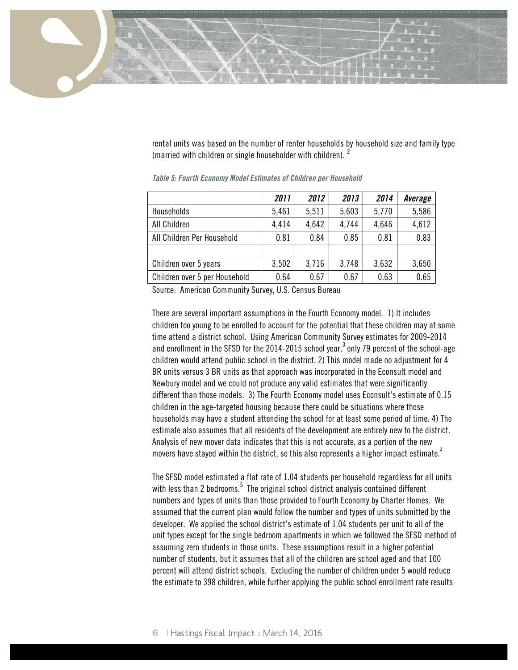

rental units was based on the number of renter households by household size and family type (married with children or single householder with children).  $<sup>2</sup>$ </sup>

|                               | 2011  | 2012  | 2013  | 2014  | Average |
|-------------------------------|-------|-------|-------|-------|---------|
| Households                    | 5,461 | 5,511 | 5,603 | 5,770 | 5,586   |
| All Children                  | 4,414 | 4,642 | 4,744 | 4,646 | 4,612   |
| All Children Per Household    | 0.81  | 0.84  | 0.85  | 0.81  | 0.83    |
|                               |       |       |       |       |         |
| Children over 5 years         | 3,502 | 3,716 | 3,748 | 3,632 | 3,650   |
| Children over 5 per Household | 0.64  | 0.67  | 0.67  | 0.63  | 0.65    |

**Table 5: Fourth Economy Model Estimates of Children per Household**

Source: American Community Survey, U.S. Census Bureau

There are several important assumptions in the Fourth Economy model. 1) It includes children too young to be enrolled to account for the potential that these children may at some time attend a district school. Using American Community Survey estimates for 2009-2014 and enrollment in the SFSD for the 2014-2015 school year, $^3$  only 79 percent of the school-age children would attend public school in the district. 2) This model made no adjustment for 4 BR units versus 3 BR units as that approach was incorporated in the Econsult model and Newbury model and we could not produce any valid estimates that were significantly different than those models. 3) The Fourth Economy model uses Econsult's estimate of 0.15 children in the age-targeted housing because there could be situations where those households may have a student attending the school for at least some period of time. 4) The estimate also assumes that all residents of the development are entirely new to the district. Analysis of new mover data indicates that this is not accurate, as a portion of the new movers have stayed within the district, so this also represents a higher impact estimate. $^4$ 

The SFSD model estimated a flat rate of 1.04 students per household regardless for all units with less than 2 bedrooms. $^5\,$  The original school district analysis contained different numbers and types of units than those provided to Fourth Economy by Charter Homes. We assumed that the current plan would follow the number and types of units submitted by the developer. We applied the school district's estimate of 1.04 students per unit to all of the unit types except for the single bedroom apartments in which we followed the SFSD method of assuming zero students in those units. These assumptions result in a higher potential number of students, but it assumes that all of the children are school aged and that 100 percent will attend district schools. Excluding the number of children under 5 would reduce the estimate to 398 children, while further applying the public school enrollment rate results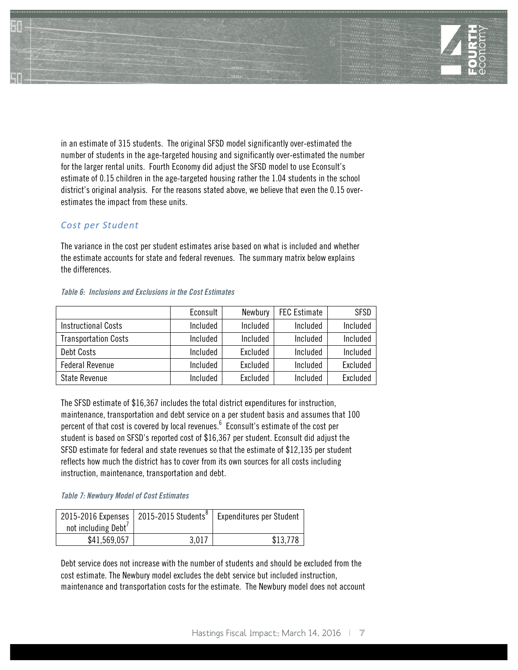

in an estimate of 315 students. The original SFSD model significantly over-estimated the number of students in the age-targeted housing and significantly over-estimated the number for the larger rental units. Fourth Economy did adjust the SFSD model to use Econsult's estimate of 0.15 children in the age-targeted housing rather the 1.04 students in the school district's original analysis. For the reasons stated above, we believe that even the 0.15 overestimates the impact from these units.

#### *Cost per Student*

The variance in the cost per student estimates arise based on what is included and whether the estimate accounts for state and federal revenues. The summary matrix below explains the differences.

|                             | Econsult | Newbury  | <b>FEC Estimate</b> | <b>SFSD</b> |
|-----------------------------|----------|----------|---------------------|-------------|
| <b>Instructional Costs</b>  | Included | Included | Included            | Included    |
| <b>Transportation Costs</b> | Included | Included | Included            | Included    |
| Debt Costs                  | Included | Excluded | Included            | Included    |
| <b>Federal Revenue</b>      | Included | Excluded | Included            | Excluded    |
| State Revenue               | Included | Excluded | Included            | Excluded    |

#### **Table 6: Inclusions and Exclusions in the Cost Estimates**

The SFSD estimate of \$16,367 includes the total district expenditures for instruction, maintenance, transportation and debt service on a per student basis and assumes that 100 percent of that cost is covered by local revenues. $^6\,$  Econsult's estimate of the cost per student is based on SFSD's reported cost of \$16,367 per student. Econsult did adjust the SFSD estimate for federal and state revenues so that the estimate of \$12,135 per student reflects how much the district has to cover from its own sources for all costs including instruction, maintenance, transportation and debt.

#### **Table 7: Newbury Model of Cost Estimates**

|                     | 2015-2016 Expenses   2015-2015 Students <sup>8</sup> | <b>Expenditures per Student</b> |
|---------------------|------------------------------------------------------|---------------------------------|
| not including Debt' |                                                      |                                 |
| \$41,569,057        | 3.017                                                | \$13.778                        |

Debt service does not increase with the number of students and should be excluded from the cost estimate. The Newbury model excludes the debt service but included instruction, maintenance and transportation costs for the estimate. The Newbury model does not account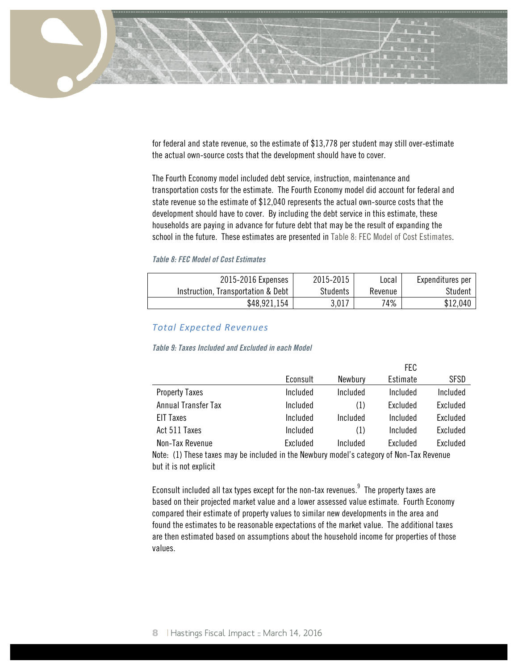

for federal and state revenue, so the estimate of \$13,778 per student may still over-estimate the actual own-source costs that the development should have to cover.

The Fourth Economy model included debt service, instruction, maintenance and transportation costs for the estimate. The Fourth Economy model did account for federal and state revenue so the estimate of \$12,040 represents the actual own-source costs that the development should have to cover. By including the debt service in this estimate, these households are paying in advance for future debt that may be the result of expanding the school in the future. These estimates are presented in Table 8: FEC Model of Cost Estimates.

#### **Table 8: FEC Model of Cost Estimates**

| 2015-2016 Expenses                 | 2015-2015 | Local   | Expenditures per |
|------------------------------------|-----------|---------|------------------|
| Instruction, Transportation & Debt | Students  | Revenue | Student          |
| \$48.921.154                       | 3,017     | 74%     | \$12,040         |

#### *Total Expected Revenues*

#### **Table 9: Taxes Included and Excluded in each Model**

|                       |          |          | FEC             |                 |
|-----------------------|----------|----------|-----------------|-----------------|
|                       | Econsult | Newbury  | Estimate        | SFSD            |
| <b>Property Taxes</b> | Included | Included | Included        | Included        |
| Annual Transfer Tax   | Included | (1)      | Excluded        | Excluded        |
| <b>EIT Taxes</b>      | Included | Included | Included        | Excluded        |
| Act 511 Taxes         | Included | (1)      | Included        | Excluded        |
| Non-Tax Revenue       | Excluded | Included | <b>Fxcluded</b> | <b>Fxcluded</b> |

Note: (1) These taxes may be included in the Newbury model's category of Non-Tax Revenue but it is not explicit

Econsult included all tax types except for the non-tax revenues. $^9\,$  The property taxes are based on their projected market value and a lower assessed value estimate. Fourth Economy compared their estimate of property values to similar new developments in the area and found the estimates to be reasonable expectations of the market value. The additional taxes are then estimated based on assumptions about the household income for properties of those values.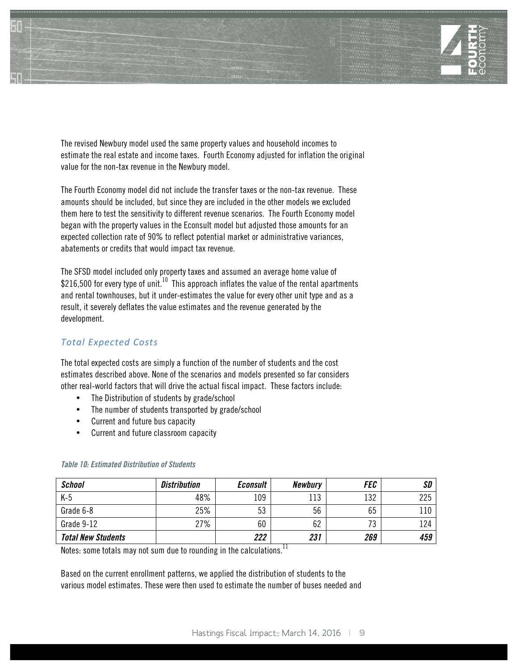

The revised Newbury model used the same property values and household incomes to estimate the real estate and income taxes. Fourth Economy adjusted for inflation the original value for the non-tax revenue in the Newbury model.

The Fourth Economy model did not include the transfer taxes or the non-tax revenue. These amounts should be included, but since they are included in the other models we excluded them here to test the sensitivity to different revenue scenarios. The Fourth Economy model began with the property values in the Econsult model but adjusted those amounts for an expected collection rate of 90% to reflect potential market or administrative variances, abatements or credits that would impact tax revenue.

The SFSD model included only property taxes and assumed an average home value of \$216,500 for every type of unit.<sup>10</sup> This approach inflates the value of the rental apartments and rental townhouses, but it under-estimates the value for every other unit type and as a result, it severely deflates the value estimates and the revenue generated by the development.

## *Total Expected Costs*

The total expected costs are simply a function of the number of students and the cost estimates described above. None of the scenarios and models presented so far considers other real-world factors that will drive the actual fiscal impact. These factors include:

- The Distribution of students by grade/school
- The number of students transported by grade/school
- Current and future bus capacity
- Current and future classroom capacity

| <b>School</b>             | <i>Distribution</i> | <b>Econsult</b> | <b>Newbury</b> | <i>FEC</i> | SD  |
|---------------------------|---------------------|-----------------|----------------|------------|-----|
| $K-5$                     | 48%                 | 109             | 113            | 132        | 225 |
| Grade 6-8                 | 25%                 | 53              | 56             | 65         | 110 |
| Grade 9-12                | 27%                 | 60              | 62             | 73         | 124 |
| <b>Total New Students</b> |                     | 222             | 231            | 269        | 459 |

#### **Table 10: Estimated Distribution of Students**

Notes: some totals may not sum due to rounding in the calculations.<sup>11</sup>

Based on the current enrollment patterns, we applied the distribution of students to the various model estimates. These were then used to estimate the number of buses needed and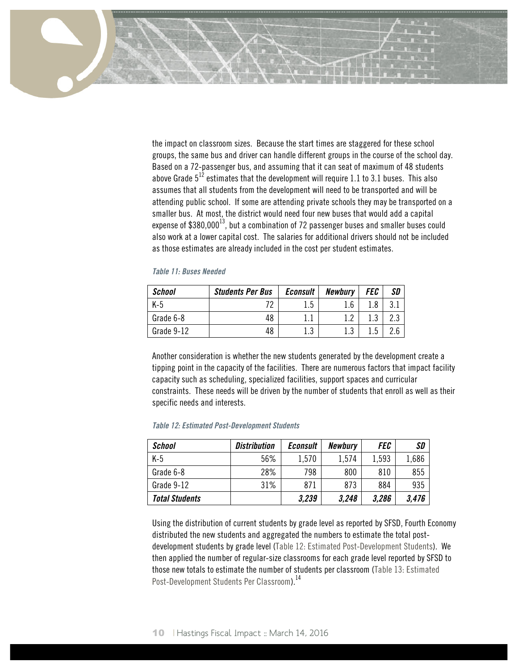

the impact on classroom sizes. Because the start times are staggered for these school groups, the same bus and driver can handle different groups in the course of the school day. Based on a 72-passenger bus, and assuming that it can seat of maximum of 48 students above Grade  $5^{12}$  estimates that the development will require 1.1 to 3.1 buses. This also assumes that all students from the development will need to be transported and will be attending public school. If some are attending private schools they may be transported on a smaller bus. At most, the district would need four new buses that would add a capital expense of  $$380,000^{13}$ , but a combination of 72 passenger buses and smaller buses could also work at a lower capital cost. The salaries for additional drivers should not be included as those estimates are already included in the cost per student estimates.

|  | <b>Table 11: Buses Needed</b> |  |
|--|-------------------------------|--|
|  |                               |  |

| <b>School</b> | <b>Students Per Bus</b> | <b>Econsult</b> | <b>Newbury</b> | FEC | <b>SD</b> |
|---------------|-------------------------|-----------------|----------------|-----|-----------|
| K-5           | 70                      | 1.5             | 1.6            | .8. |           |
| Grade 6-8     | 48                      |                 | റ              | 2   |           |
| Grade 9-12    | 48                      | 1 ລ<br>1.J      |                | 1.5 |           |

Another consideration is whether the new students generated by the development create a tipping point in the capacity of the facilities. There are numerous factors that impact facility capacity such as scheduling, specialized facilities, support spaces and curricular constraints. These needs will be driven by the number of students that enroll as well as their specific needs and interests.

|  |  |  | <b>Table 12: Estimated Post-Development Students</b> |  |
|--|--|--|------------------------------------------------------|--|
|--|--|--|------------------------------------------------------|--|

| <b>School</b>         | <b>Distribution</b> | <b>Econsult</b> | <b>Newbury</b> | <b>FEC</b> | SD    |
|-----------------------|---------------------|-----------------|----------------|------------|-------|
| $K-5$                 | 56%                 | 1,570           | 1,574          | 1,593      | 1,686 |
| Grade 6-8             | 28%                 | 798             | 800            | 810        | 855   |
| Grade 9-12            | 31%                 | 871             | 873            | 884        | 935   |
| <b>Total Students</b> |                     | 3,239           | 3,248          | 3,286      | 3,476 |

Using the distribution of current students by grade level as reported by SFSD, Fourth Economy distributed the new students and aggregated the numbers to estimate the total postdevelopment students by grade level (Table 12: Estimated Post-Development Students). We then applied the number of regular-size classrooms for each grade level reported by SFSD to those new totals to estimate the number of students per classroom (Table 13: Estimated Post-Development Students Per Classroom).<sup>14</sup>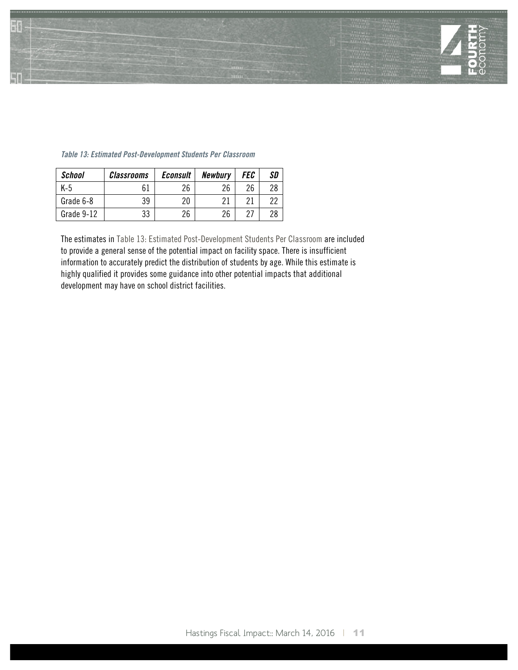

| <b>School</b> | <i><b>Classrooms</b></i> | <b>Econsult</b> | <b>Newbury</b> | FEC | SD |
|---------------|--------------------------|-----------------|----------------|-----|----|
| K-5           | 61                       | 26              | 26             | 26  | 28 |
| Grade 6-8     | 39                       | 20              | 21             | ባ 1 | っっ |
| Grade 9-12    | 33                       | 26              | 26             | ר מ | 28 |

#### **Table 13: Estimated Post-Development Students Per Classroom**

The estimates in Table 13: Estimated Post-Development Students Per Classroom are included to provide a general sense of the potential impact on facility space. There is insufficient information to accurately predict the distribution of students by age. While this estimate is highly qualified it provides some guidance into other potential impacts that additional development may have on school district facilities.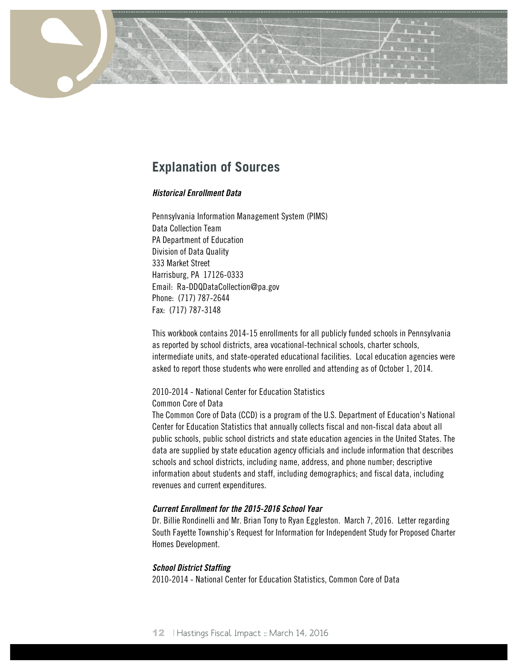# **Explanation of Sources**

## **Historical Enrollment Data**

Pennsylvania Information Management System (PIMS) Data Collection Team PA Department of Education Division of Data Quality 333 Market Street Harrisburg, PA 17126-0333 Email: Ra-DDQDataCollection@pa.gov Phone: (717) 787-2644 Fax: (717) 787-3148

This workbook contains 2014-15 enrollments for all publicly funded schools in Pennsylvania as reported by school districts, area vocational-technical schools, charter schools, intermediate units, and state-operated educational facilities. Local education agencies were asked to report those students who were enrolled and attending as of October 1, 2014.

# 2010-2014 - National Center for Education Statistics

Common Core of Data

The Common Core of Data (CCD) is a program of the U.S. Department of Education's National Center for Education Statistics that annually collects fiscal and non-fiscal data about all public schools, public school districts and state education agencies in the United States. The data are supplied by state education agency officials and include information that describes schools and school districts, including name, address, and phone number; descriptive information about students and staff, including demographics; and fiscal data, including revenues and current expenditures.

## **Current Enrollment for the 2015-2016 School Year**

Dr. Billie Rondinelli and Mr. Brian Tony to Ryan Eggleston. March 7, 2016. Letter regarding South Fayette Township's Request for Information for Independent Study for Proposed Charter Homes Development.

#### **School District Staffing**

2010-2014 - National Center for Education Statistics, Common Core of Data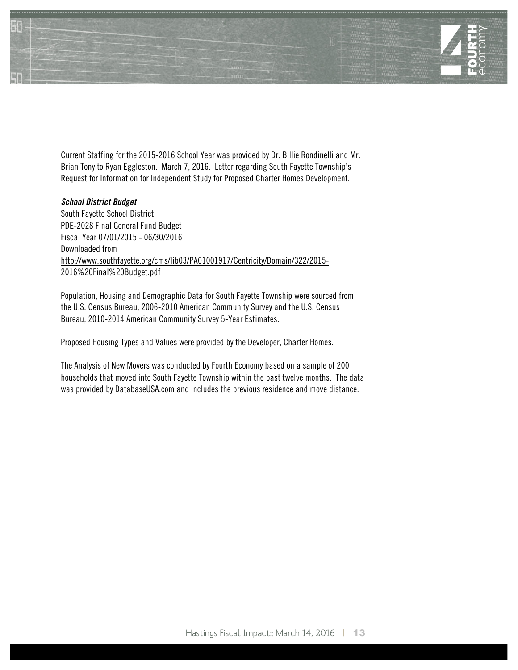

Current Staffing for the 2015-2016 School Year was provided by Dr. Billie Rondinelli and Mr. Brian Tony to Ryan Eggleston. March 7, 2016. Letter regarding South Fayette Township's Request for Information for Independent Study for Proposed Charter Homes Development.

#### **School District Budget**

South Fayette School District PDE-2028 Final General Fund Budget Fiscal Year 07/01/2015 - 06/30/2016 Downloaded from http://www.southfayette.org/cms/lib03/PA01001917/Centricity/Domain/322/2015- 2016%20Final%20Budget.pdf

Population, Housing and Demographic Data for South Fayette Township were sourced from the U.S. Census Bureau, 2006-2010 American Community Survey and the U.S. Census Bureau, 2010-2014 American Community Survey 5-Year Estimates.

Proposed Housing Types and Values were provided by the Developer, Charter Homes.

The Analysis of New Movers was conducted by Fourth Economy based on a sample of 200 households that moved into South Fayette Township within the past twelve months. The data was provided by DatabaseUSA.com and includes the previous residence and move distance.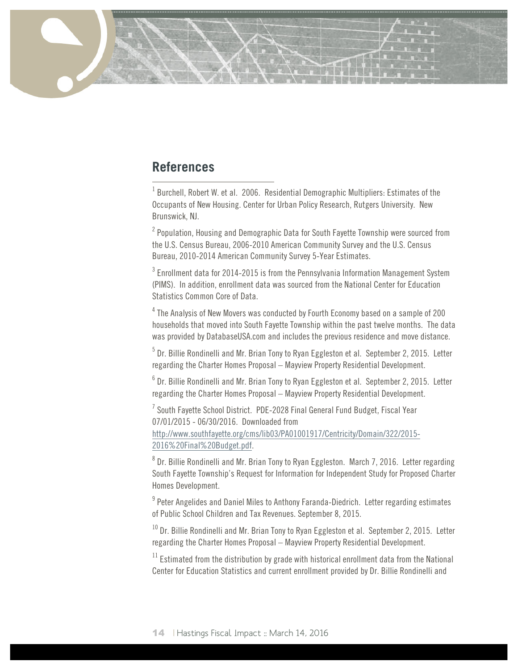# **References**

 $1$  Burchell, Robert W. et al. 2006. Residential Demographic Multipliers: Estimates of the Occupants of New Housing. Center for Urban Policy Research, Rutgers University. New Brunswick, NJ.

 $2$  Population, Housing and Demographic Data for South Fayette Township were sourced from the U.S. Census Bureau, 2006-2010 American Community Survey and the U.S. Census Bureau, 2010-2014 American Community Survey 5-Year Estimates.

<sup>3</sup> Enrollment data for 2014-2015 is from the Pennsylvania Information Management System (PIMS). In addition, enrollment data was sourced from the National Center for Education Statistics Common Core of Data.

<sup>4</sup> The Analysis of New Movers was conducted by Fourth Economy based on a sample of 200 households that moved into South Fayette Township within the past twelve months. The data was provided by DatabaseUSA.com and includes the previous residence and move distance.

<sup>5</sup> Dr. Billie Rondinelli and Mr. Brian Tony to Ryan Eggleston et al. September 2, 2015. Letter regarding the Charter Homes Proposal – Mayview Property Residential Development.

 $6$  Dr. Billie Rondinelli and Mr. Brian Tony to Ryan Eggleston et al. September 2, 2015. Letter regarding the Charter Homes Proposal – Mayview Property Residential Development.

 $^7$  South Favette School District. PDE-2028 Final General Fund Budget. Fiscal Year 07/01/2015 - 06/30/2016. Downloaded from http://www.southfayette.org/cms/lib03/PA01001917/Centricity/Domain/322/2015- 2016%20Final%20Budget.pdf.

 $8$  Dr. Billie Rondinelli and Mr. Brian Tony to Ryan Eggleston. March 7, 2016. Letter regarding South Fayette Township's Request for Information for Independent Study for Proposed Charter Homes Development.

 $9$  Peter Angelides and Daniel Miles to Anthony Faranda-Diedrich. Letter regarding estimates of Public School Children and Tax Revenues. September 8, 2015.

 $10$  Dr. Billie Rondinelli and Mr. Brian Tony to Ryan Eggleston et al. September 2, 2015. Letter regarding the Charter Homes Proposal – Mayview Property Residential Development.

 $11$  Estimated from the distribution by grade with historical enrollment data from the National Center for Education Statistics and current enrollment provided by Dr. Billie Rondinelli and